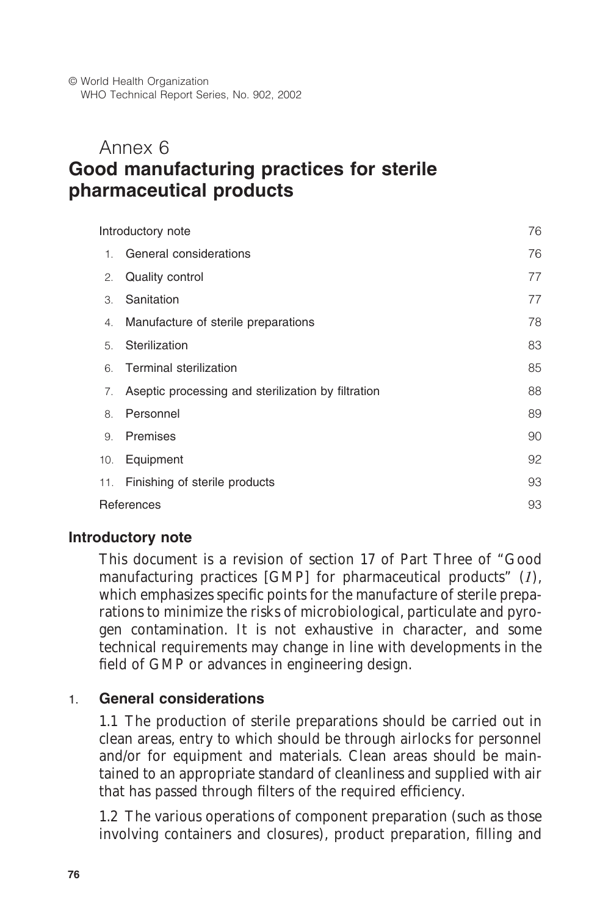© World Health Organization WHO Technical Report Series, No. 902, 2002

# Annex 6 **Good manufacturing practices for sterile pharmaceutical products**

| Introductory note |                                                    | 76 |
|-------------------|----------------------------------------------------|----|
| 1.                | General considerations                             | 76 |
| 2.                | Quality control                                    | 77 |
| 3.                | Sanitation                                         | 77 |
| 4.                | Manufacture of sterile preparations                | 78 |
| 5.                | Sterilization                                      | 83 |
| 6.                | <b>Terminal sterilization</b>                      | 85 |
| 7.                | Aseptic processing and sterilization by filtration | 88 |
| 8.                | Personnel                                          | 89 |
| 9.                | Premises                                           | 90 |
| 10.               | Equipment                                          | 92 |
| 11.               | Finishing of sterile products                      | 93 |
| References        |                                                    | 93 |

#### **Introductory note**

This document is a revision of section 17 of Part Three of "Good manufacturing practices [GMP] for pharmaceutical products" (*1*), which emphasizes specific points for the manufacture of sterile preparations to minimize the risks of microbiological, particulate and pyrogen contamination. It is not exhaustive in character, and some technical requirements may change in line with developments in the field of GMP or advances in engineering design.

#### 1. **General considerations**

1.1 The production of sterile preparations should be carried out in clean areas, entry to which should be through airlocks for personnel and/or for equipment and materials. Clean areas should be maintained to an appropriate standard of cleanliness and supplied with air that has passed through filters of the required efficiency.

1.2 The various operations of component preparation (such as those involving containers and closures), product preparation, filling and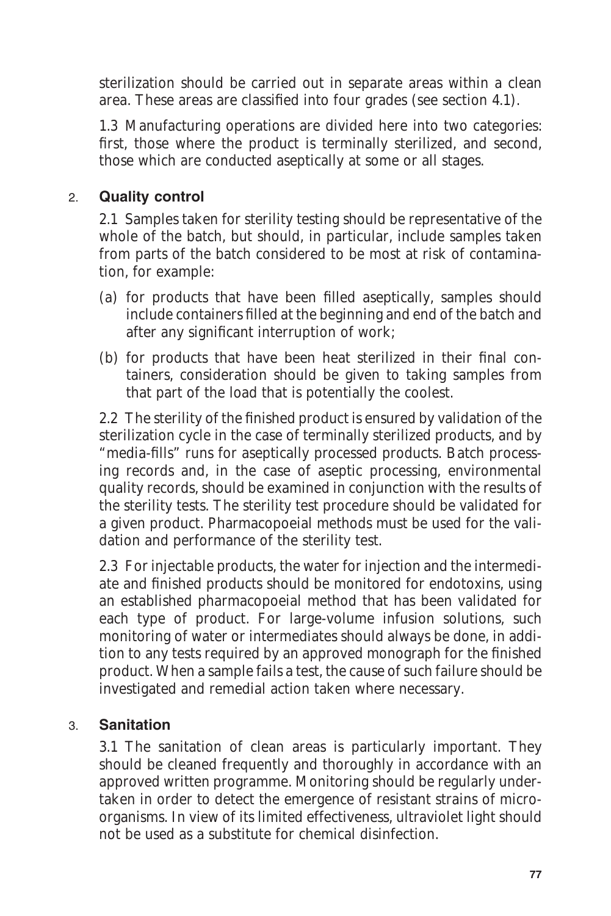sterilization should be carried out in separate areas within a clean area. These areas are classified into four grades (see section 4.1).

1.3 Manufacturing operations are divided here into two categories: first, those where the product is terminally sterilized, and second, those which are conducted aseptically at some or all stages.

### 2. **Quality control**

2.1 Samples taken for sterility testing should be representative of the whole of the batch, but should, in particular, include samples taken from parts of the batch considered to be most at risk of contamination, for example:

- (a) for products that have been filled aseptically, samples should include containers filled at the beginning and end of the batch and after any significant interruption of work;
- (b) for products that have been heat sterilized in their final containers, consideration should be given to taking samples from that part of the load that is potentially the coolest.

2.2 The sterility of the finished product is ensured by validation of the sterilization cycle in the case of terminally sterilized products, and by "media-fills" runs for aseptically processed products. Batch processing records and, in the case of aseptic processing, environmental quality records, should be examined in conjunction with the results of the sterility tests. The sterility test procedure should be validated for a given product. Pharmacopoeial methods must be used for the validation and performance of the sterility test.

2.3 For injectable products, the water for injection and the intermediate and finished products should be monitored for endotoxins, using an established pharmacopoeial method that has been validated for each type of product. For large-volume infusion solutions, such monitoring of water or intermediates should always be done, in addition to any tests required by an approved monograph for the finished product. When a sample fails a test, the cause of such failure should be investigated and remedial action taken where necessary.

### 3. **Sanitation**

3.1 The sanitation of clean areas is particularly important. They should be cleaned frequently and thoroughly in accordance with an approved written programme. Monitoring should be regularly undertaken in order to detect the emergence of resistant strains of microorganisms. In view of its limited effectiveness, ultraviolet light should not be used as a substitute for chemical disinfection.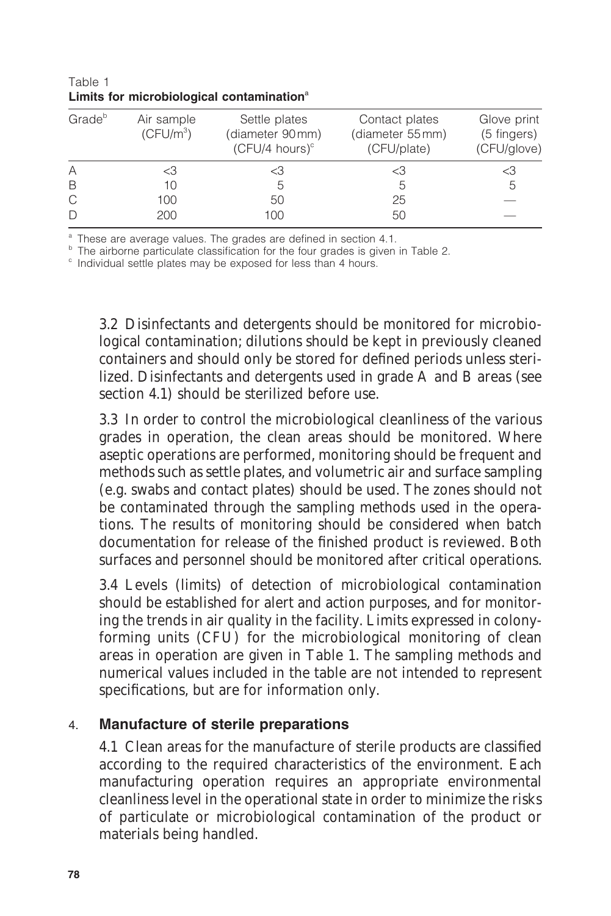| Grade <sup>b</sup> | Air sample<br>$(CFU/m^3)$ | Settle plates<br>(diameter 90mm)<br>$(CFU/4$ hours) $\degree$ | Contact plates<br>(diameter 55mm)<br>(CFU/plate) | Glove print<br>(5 fingers)<br>(CFU/glove) |
|--------------------|---------------------------|---------------------------------------------------------------|--------------------------------------------------|-------------------------------------------|
| А                  | <3                        | <3                                                            | <3                                               | <3                                        |
| B                  | 10                        | 5                                                             | 5                                                | 5                                         |
| C                  | 100                       | 50                                                            | 25                                               |                                           |
| D                  | 200                       | 100                                                           | 50                                               |                                           |

Table 1 Limits for microbiological contamination<sup>a</sup>

<sup>a</sup> These are average values. The grades are defined in section 4.1.<br>
<sup>b</sup> The airborne particulate classification for the four grades is given in Table 2. c Individual settle plates may be exposed for less than 4 hours.

3.2 Disinfectants and detergents should be monitored for microbiological contamination; dilutions should be kept in previously cleaned containers and should only be stored for defined periods unless sterilized. Disinfectants and detergents used in grade A and B areas (see section 4.1) should be sterilized before use.

3.3 In order to control the microbiological cleanliness of the various grades in operation, the clean areas should be monitored. Where aseptic operations are performed, monitoring should be frequent and methods such as settle plates, and volumetric air and surface sampling (e.g. swabs and contact plates) should be used. The zones should not be contaminated through the sampling methods used in the operations. The results of monitoring should be considered when batch documentation for release of the finished product is reviewed. Both surfaces and personnel should be monitored after critical operations.

3.4 Levels (limits) of detection of microbiological contamination should be established for alert and action purposes, and for monitoring the trends in air quality in the facility. Limits expressed in colonyforming units (CFU) for the microbiological monitoring of clean areas in operation are given in Table 1. The sampling methods and numerical values included in the table are not intended to represent specifications, but are for information only.

#### 4. **Manufacture of sterile preparations**

4.1 Clean areas for the manufacture of sterile products are classified according to the required characteristics of the environment. Each manufacturing operation requires an appropriate environmental cleanliness level in the operational state in order to minimize the risks of particulate or microbiological contamination of the product or materials being handled.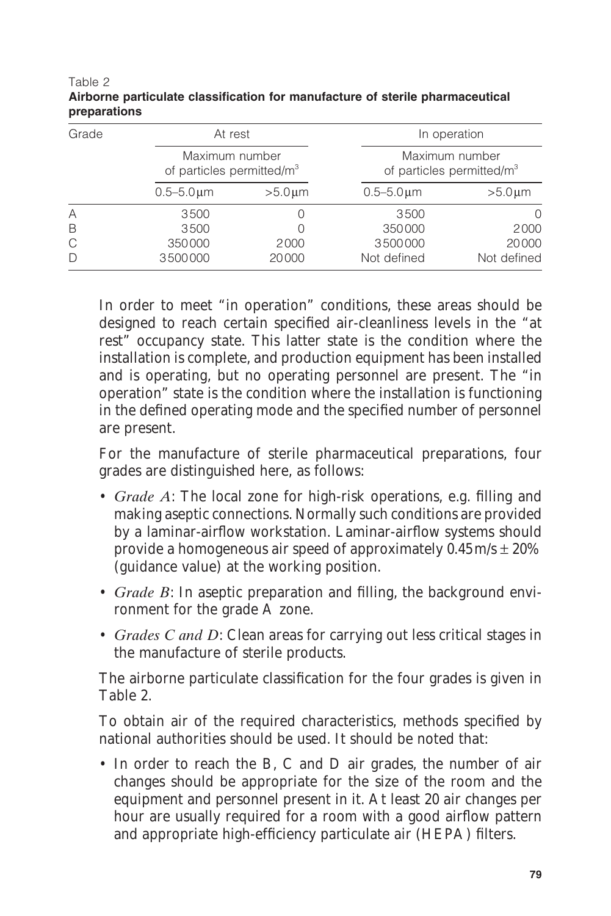| Grade  | At rest<br>Maximum number<br>of particles permitted/m <sup>3</sup> |                | In operation            |                                                         |  |
|--------|--------------------------------------------------------------------|----------------|-------------------------|---------------------------------------------------------|--|
|        |                                                                    |                |                         | Maximum number<br>of particles permitted/m <sup>3</sup> |  |
|        | $0.5 - 5.0 \,\text{µm}$                                            | $>5.0 \,\mu m$ | $0.5 - 5.0 \,\text{µm}$ | $>5.0 \,\mu m$                                          |  |
| А<br>B | 3500<br>3500                                                       |                | 3500<br>350000          | $\bigcap$<br>2000                                       |  |
| C      | 350000<br>3500000                                                  | 2000<br>20000  | 3500000<br>Not defined  | 20000<br>Not defined                                    |  |

Table 2 **Airborne particulate classification for manufacture of sterile pharmaceutical preparations**

In order to meet "in operation" conditions, these areas should be designed to reach certain specified air-cleanliness levels in the "at rest" occupancy state. This latter state is the condition where the installation is complete, and production equipment has been installed and is operating, but no operating personnel are present. The "in operation" state is the condition where the installation is functioning in the defined operating mode and the specified number of personnel are present.

For the manufacture of sterile pharmaceutical preparations, four grades are distinguished here, as follows:

- *Grade A*: The local zone for high-risk operations, e.g. filling and making aseptic connections. Normally such conditions are provided by a laminar-airflow workstation. Laminar-airflow systems should provide a homogeneous air speed of approximately  $0.45 \text{ m/s} \pm 20\%$ (guidance value) at the working position.
- *Grade B*: In aseptic preparation and filling, the background environment for the grade A zone.
- *Grades C and D*: Clean areas for carrying out less critical stages in the manufacture of sterile products.

The airborne particulate classification for the four grades is given in Table 2.

To obtain air of the required characteristics, methods specified by national authorities should be used. It should be noted that:

• In order to reach the B, C and D air grades, the number of air changes should be appropriate for the size of the room and the equipment and personnel present in it. At least 20 air changes per hour are usually required for a room with a good airflow pattern and appropriate high-efficiency particulate air (HEPA) filters.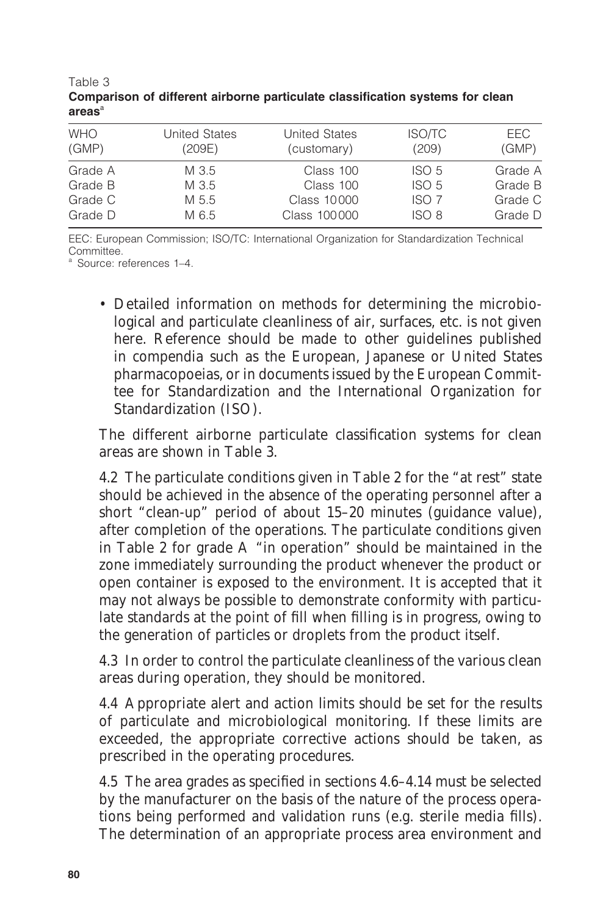| <b>WHO</b> | <b>United States</b> | <b>United States</b> | <b>ISO/TC</b>    | EEC     |
|------------|----------------------|----------------------|------------------|---------|
| (GMP)      | (209E)               | (customary)          | (209)            | (GMP)   |
| Grade A    | M 3.5                | Class 100            | ISO 5            | Grade A |
| Grade B    | M 3.5                | Class 100            | ISO <sub>5</sub> | Grade B |
| Grade C    | M 5.5                | <b>Class 10000</b>   | ISO <sub>7</sub> | Grade C |
| Grade D    | M 6.5                | Class 100000         | ISO <sub>8</sub> | Grade D |

Table 3 **Comparison of different airborne particulate classification systems for clean areas**<sup>a</sup>

EEC: European Commission; ISO/TC: International Organization for Standardization Technical Committee.

Source: references 1-4.

• Detailed information on methods for determining the microbiological and particulate cleanliness of air, surfaces, etc. is not given here. Reference should be made to other guidelines published in compendia such as the European, Japanese or United States pharmacopoeias, or in documents issued by the European Committee for Standardization and the International Organization for Standardization (ISO).

The different airborne particulate classification systems for clean areas are shown in Table 3.

4.2 The particulate conditions given in Table 2 for the "at rest" state should be achieved in the absence of the operating personnel after a short "clean-up" period of about 15–20 minutes (guidance value), after completion of the operations. The particulate conditions given in Table 2 for grade A "in operation" should be maintained in the zone immediately surrounding the product whenever the product or open container is exposed to the environment. It is accepted that it may not always be possible to demonstrate conformity with particulate standards at the point of fill when filling is in progress, owing to the generation of particles or droplets from the product itself.

4.3 In order to control the particulate cleanliness of the various clean areas during operation, they should be monitored.

4.4 Appropriate alert and action limits should be set for the results of particulate and microbiological monitoring. If these limits are exceeded, the appropriate corrective actions should be taken, as prescribed in the operating procedures.

4.5 The area grades as specified in sections 4.6–4.14 must be selected by the manufacturer on the basis of the nature of the process operations being performed and validation runs (e.g. sterile media fills). The determination of an appropriate process area environment and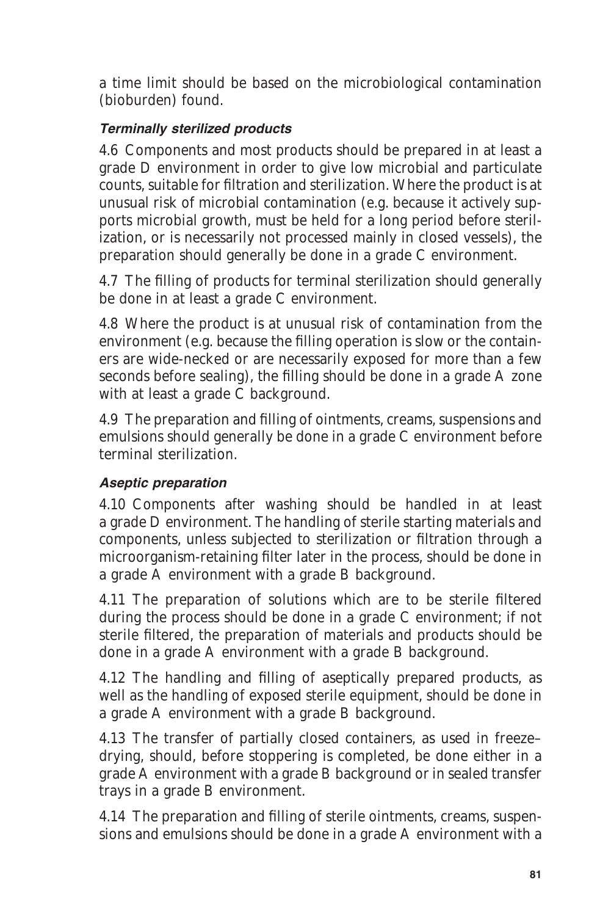a time limit should be based on the microbiological contamination (bioburden) found.

# **Terminally sterilized products**

4.6 Components and most products should be prepared in at least a grade D environment in order to give low microbial and particulate counts, suitable for filtration and sterilization. Where the product is at unusual risk of microbial contamination (e.g. because it actively supports microbial growth, must be held for a long period before sterilization, or is necessarily not processed mainly in closed vessels), the preparation should generally be done in a grade C environment.

4.7 The filling of products for terminal sterilization should generally be done in at least a grade C environment.

4.8 Where the product is at unusual risk of contamination from the environment (e.g. because the filling operation is slow or the containers are wide-necked or are necessarily exposed for more than a few seconds before sealing), the filling should be done in a grade A zone with at least a grade C background.

4.9 The preparation and filling of ointments, creams, suspensions and emulsions should generally be done in a grade C environment before terminal sterilization.

# **Aseptic preparation**

4.10 Components after washing should be handled in at least a grade D environment. The handling of sterile starting materials and components, unless subjected to sterilization or filtration through a microorganism-retaining filter later in the process, should be done in a grade A environment with a grade B background.

4.11 The preparation of solutions which are to be sterile filtered during the process should be done in a grade C environment; if not sterile filtered, the preparation of materials and products should be done in a grade A environment with a grade B background.

4.12 The handling and filling of aseptically prepared products, as well as the handling of exposed sterile equipment, should be done in a grade A environment with a grade B background.

4.13 The transfer of partially closed containers, as used in freeze– drying, should, before stoppering is completed, be done either in a grade A environment with a grade B background or in sealed transfer trays in a grade B environment.

4.14 The preparation and filling of sterile ointments, creams, suspensions and emulsions should be done in a grade A environment with a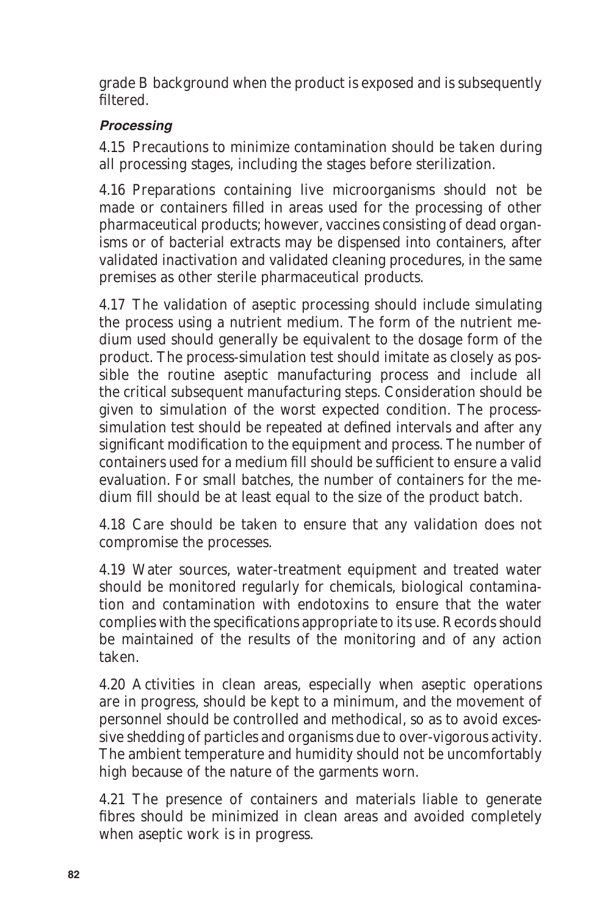grade B background when the product is exposed and is subsequently filtered.

### **Processing**

4.15 Precautions to minimize contamination should be taken during all processing stages, including the stages before sterilization.

4.16 Preparations containing live microorganisms should not be made or containers filled in areas used for the processing of other pharmaceutical products; however, vaccines consisting of dead organisms or of bacterial extracts may be dispensed into containers, after validated inactivation and validated cleaning procedures, in the same premises as other sterile pharmaceutical products.

4.17 The validation of aseptic processing should include simulating the process using a nutrient medium. The form of the nutrient medium used should generally be equivalent to the dosage form of the product. The process-simulation test should imitate as closely as possible the routine aseptic manufacturing process and include all the critical subsequent manufacturing steps. Consideration should be given to simulation of the worst expected condition. The processsimulation test should be repeated at defined intervals and after any significant modification to the equipment and process. The number of containers used for a medium fill should be sufficient to ensure a valid evaluation. For small batches, the number of containers for the medium fill should be at least equal to the size of the product batch.

4.18 Care should be taken to ensure that any validation does not compromise the processes.

4.19 Water sources, water-treatment equipment and treated water should be monitored regularly for chemicals, biological contamination and contamination with endotoxins to ensure that the water complies with the specifications appropriate to its use. Records should be maintained of the results of the monitoring and of any action taken.

4.20 Activities in clean areas, especially when aseptic operations are in progress, should be kept to a minimum, and the movement of personnel should be controlled and methodical, so as to avoid excessive shedding of particles and organisms due to over-vigorous activity. The ambient temperature and humidity should not be uncomfortably high because of the nature of the garments worn.

4.21 The presence of containers and materials liable to generate fibres should be minimized in clean areas and avoided completely when aseptic work is in progress.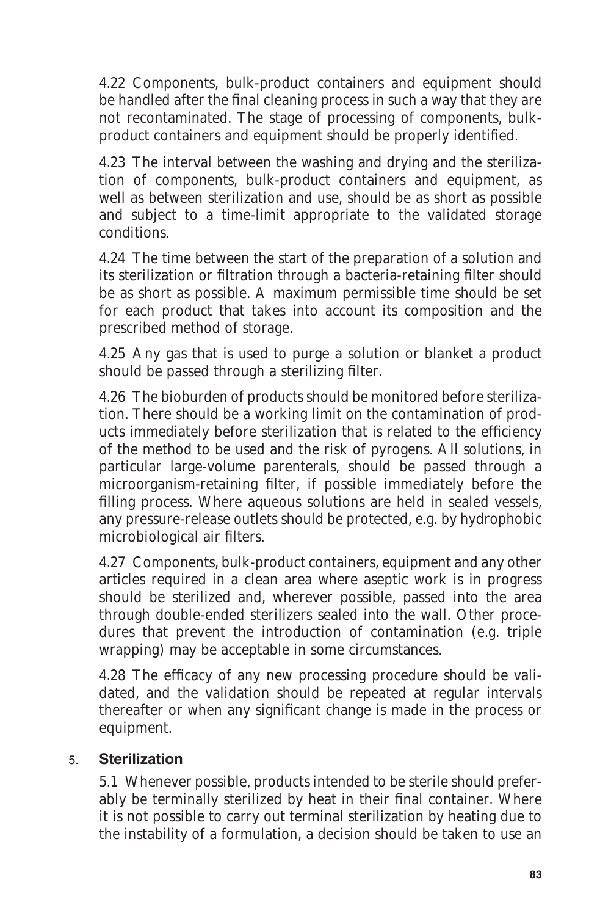4.22 Components, bulk-product containers and equipment should be handled after the final cleaning process in such a way that they are not recontaminated. The stage of processing of components, bulkproduct containers and equipment should be properly identified.

4.23 The interval between the washing and drying and the sterilization of components, bulk-product containers and equipment, as well as between sterilization and use, should be as short as possible and subject to a time-limit appropriate to the validated storage conditions.

4.24 The time between the start of the preparation of a solution and its sterilization or filtration through a bacteria-retaining filter should be as short as possible. A maximum permissible time should be set for each product that takes into account its composition and the prescribed method of storage.

4.25 Any gas that is used to purge a solution or blanket a product should be passed through a sterilizing filter.

4.26 The bioburden of products should be monitored before sterilization. There should be a working limit on the contamination of products immediately before sterilization that is related to the efficiency of the method to be used and the risk of pyrogens. All solutions, in particular large-volume parenterals, should be passed through a microorganism-retaining filter, if possible immediately before the filling process. Where aqueous solutions are held in sealed vessels, any pressure-release outlets should be protected, e.g. by hydrophobic microbiological air filters.

4.27 Components, bulk-product containers, equipment and any other articles required in a clean area where aseptic work is in progress should be sterilized and, wherever possible, passed into the area through double-ended sterilizers sealed into the wall. Other procedures that prevent the introduction of contamination (e.g. triple wrapping) may be acceptable in some circumstances.

4.28 The efficacy of any new processing procedure should be validated, and the validation should be repeated at regular intervals thereafter or when any significant change is made in the process or equipment.

### 5. **Sterilization**

5.1 Whenever possible, products intended to be sterile should preferably be terminally sterilized by heat in their final container. Where it is not possible to carry out terminal sterilization by heating due to the instability of a formulation, a decision should be taken to use an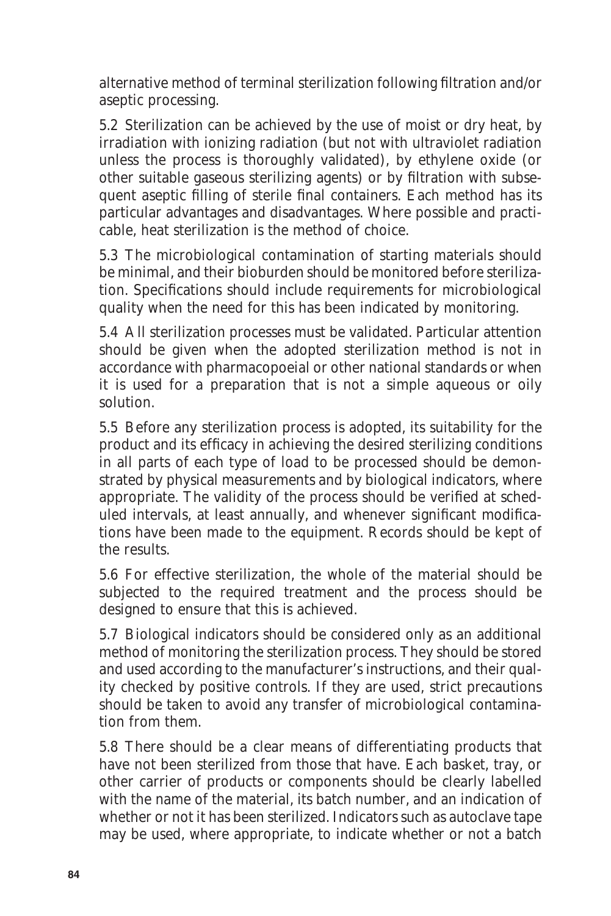alternative method of terminal sterilization following filtration and/or aseptic processing.

5.2 Sterilization can be achieved by the use of moist or dry heat, by irradiation with ionizing radiation (but not with ultraviolet radiation unless the process is thoroughly validated), by ethylene oxide (or other suitable gaseous sterilizing agents) or by filtration with subsequent aseptic filling of sterile final containers. Each method has its particular advantages and disadvantages. Where possible and practicable, heat sterilization is the method of choice.

5.3 The microbiological contamination of starting materials should be minimal, and their bioburden should be monitored before sterilization. Specifications should include requirements for microbiological quality when the need for this has been indicated by monitoring.

5.4 All sterilization processes must be validated. Particular attention should be given when the adopted sterilization method is not in accordance with pharmacopoeial or other national standards or when it is used for a preparation that is not a simple aqueous or oily solution.

5.5 Before any sterilization process is adopted, its suitability for the product and its efficacy in achieving the desired sterilizing conditions in all parts of each type of load to be processed should be demonstrated by physical measurements and by biological indicators, where appropriate. The validity of the process should be verified at scheduled intervals, at least annually, and whenever significant modifications have been made to the equipment. Records should be kept of the results.

5.6 For effective sterilization, the whole of the material should be subjected to the required treatment and the process should be designed to ensure that this is achieved.

5.7 Biological indicators should be considered only as an additional method of monitoring the sterilization process. They should be stored and used according to the manufacturer's instructions, and their quality checked by positive controls. If they are used, strict precautions should be taken to avoid any transfer of microbiological contamination from them.

5.8 There should be a clear means of differentiating products that have not been sterilized from those that have. Each basket, tray, or other carrier of products or components should be clearly labelled with the name of the material, its batch number, and an indication of whether or not it has been sterilized. Indicators such as autoclave tape may be used, where appropriate, to indicate whether or not a batch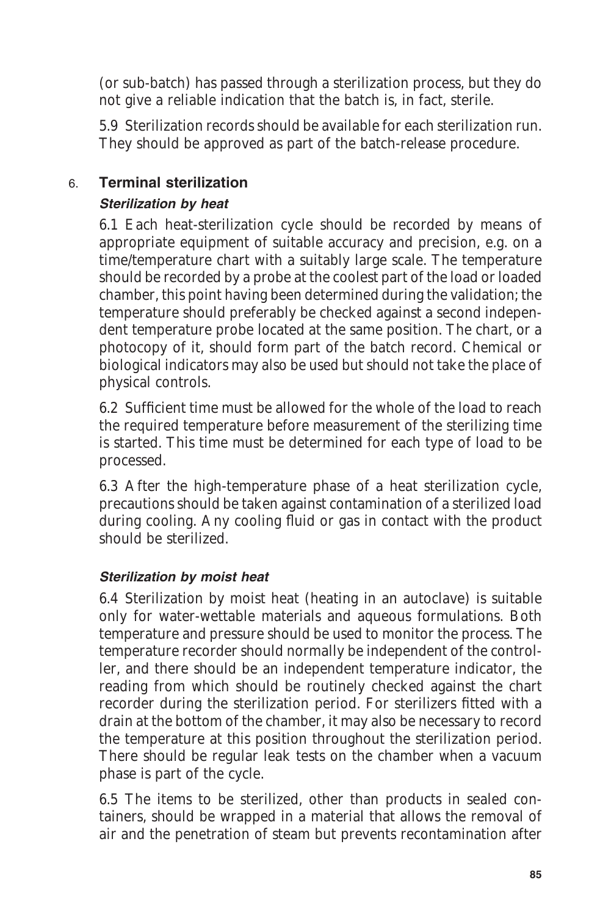(or sub-batch) has passed through a sterilization process, but they do not give a reliable indication that the batch is, in fact, sterile.

5.9 Sterilization records should be available for each sterilization run. They should be approved as part of the batch-release procedure.

# 6. **Terminal sterilization**

# **Sterilization by heat**

6.1 Each heat-sterilization cycle should be recorded by means of appropriate equipment of suitable accuracy and precision, e.g. on a time/temperature chart with a suitably large scale. The temperature should be recorded by a probe at the coolest part of the load or loaded chamber, this point having been determined during the validation; the temperature should preferably be checked against a second independent temperature probe located at the same position. The chart, or a photocopy of it, should form part of the batch record. Chemical or biological indicators may also be used but should not take the place of physical controls.

6.2 Sufficient time must be allowed for the whole of the load to reach the required temperature before measurement of the sterilizing time is started. This time must be determined for each type of load to be processed.

6.3 After the high-temperature phase of a heat sterilization cycle, precautions should be taken against contamination of a sterilized load during cooling. Any cooling fluid or gas in contact with the product should be sterilized.

# **Sterilization by moist heat**

6.4 Sterilization by moist heat (heating in an autoclave) is suitable only for water-wettable materials and aqueous formulations. Both temperature and pressure should be used to monitor the process. The temperature recorder should normally be independent of the controller, and there should be an independent temperature indicator, the reading from which should be routinely checked against the chart recorder during the sterilization period. For sterilizers fitted with a drain at the bottom of the chamber, it may also be necessary to record the temperature at this position throughout the sterilization period. There should be regular leak tests on the chamber when a vacuum phase is part of the cycle.

6.5 The items to be sterilized, other than products in sealed containers, should be wrapped in a material that allows the removal of air and the penetration of steam but prevents recontamination after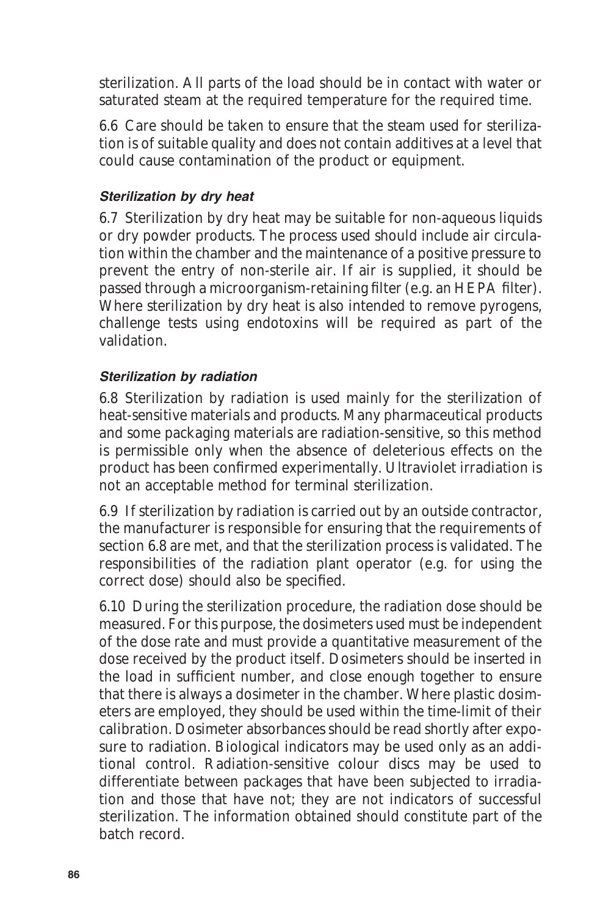sterilization. All parts of the load should be in contact with water or saturated steam at the required temperature for the required time.

6.6 Care should be taken to ensure that the steam used for sterilization is of suitable quality and does not contain additives at a level that could cause contamination of the product or equipment.

#### **Sterilization by dry heat**

6.7 Sterilization by dry heat may be suitable for non-aqueous liquids or dry powder products. The process used should include air circulation within the chamber and the maintenance of a positive pressure to prevent the entry of non-sterile air. If air is supplied, it should be passed through a microorganism-retaining filter (e.g. an HEPA filter). Where sterilization by dry heat is also intended to remove pyrogens, challenge tests using endotoxins will be required as part of the validation.

#### **Sterilization by radiation**

6.8 Sterilization by radiation is used mainly for the sterilization of heat-sensitive materials and products. Many pharmaceutical products and some packaging materials are radiation-sensitive, so this method is permissible only when the absence of deleterious effects on the product has been confirmed experimentally. Ultraviolet irradiation is not an acceptable method for terminal sterilization.

6.9 If sterilization by radiation is carried out by an outside contractor, the manufacturer is responsible for ensuring that the requirements of section 6.8 are met, and that the sterilization process is validated. The responsibilities of the radiation plant operator (e.g. for using the correct dose) should also be specified.

6.10 During the sterilization procedure, the radiation dose should be measured. For this purpose, the dosimeters used must be independent of the dose rate and must provide a quantitative measurement of the dose received by the product itself. Dosimeters should be inserted in the load in sufficient number, and close enough together to ensure that there is always a dosimeter in the chamber. Where plastic dosimeters are employed, they should be used within the time-limit of their calibration. Dosimeter absorbances should be read shortly after exposure to radiation. Biological indicators may be used only as an additional control. Radiation-sensitive colour discs may be used to differentiate between packages that have been subjected to irradiation and those that have not; they are not indicators of successful sterilization. The information obtained should constitute part of the batch record.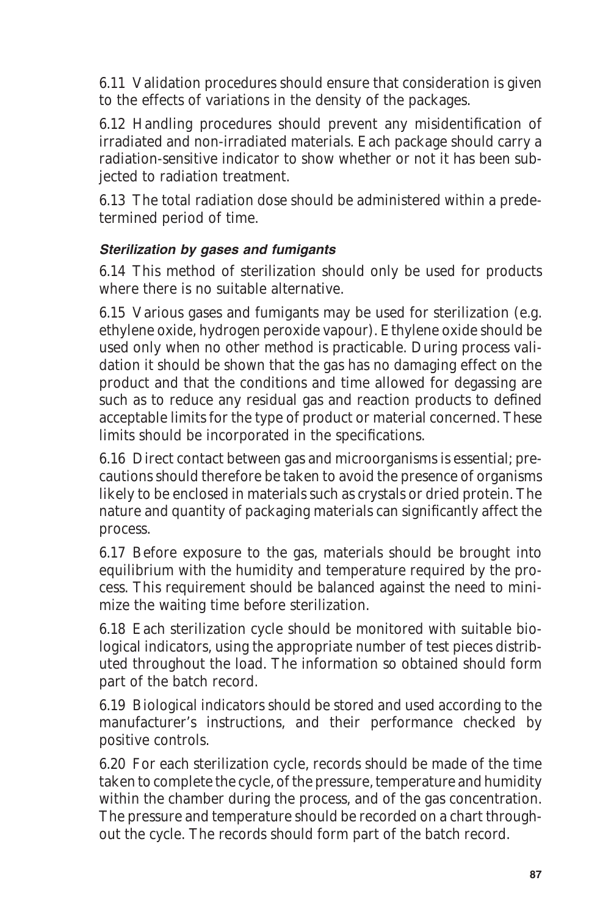6.11 Validation procedures should ensure that consideration is given to the effects of variations in the density of the packages.

6.12 Handling procedures should prevent any misidentification of irradiated and non-irradiated materials. Each package should carry a radiation-sensitive indicator to show whether or not it has been subjected to radiation treatment.

6.13 The total radiation dose should be administered within a predetermined period of time.

### **Sterilization by gases and fumigants**

6.14 This method of sterilization should only be used for products where there is no suitable alternative.

6.15 Various gases and fumigants may be used for sterilization (e.g. ethylene oxide, hydrogen peroxide vapour). Ethylene oxide should be used only when no other method is practicable. During process validation it should be shown that the gas has no damaging effect on the product and that the conditions and time allowed for degassing are such as to reduce any residual gas and reaction products to defined acceptable limits for the type of product or material concerned. These limits should be incorporated in the specifications.

6.16 Direct contact between gas and microorganisms is essential; precautions should therefore be taken to avoid the presence of organisms likely to be enclosed in materials such as crystals or dried protein. The nature and quantity of packaging materials can significantly affect the process.

6.17 Before exposure to the gas, materials should be brought into equilibrium with the humidity and temperature required by the process. This requirement should be balanced against the need to minimize the waiting time before sterilization.

6.18 Each sterilization cycle should be monitored with suitable biological indicators, using the appropriate number of test pieces distributed throughout the load. The information so obtained should form part of the batch record.

6.19 Biological indicators should be stored and used according to the manufacturer's instructions, and their performance checked by positive controls.

6.20 For each sterilization cycle, records should be made of the time taken to complete the cycle, of the pressure, temperature and humidity within the chamber during the process, and of the gas concentration. The pressure and temperature should be recorded on a chart throughout the cycle. The records should form part of the batch record.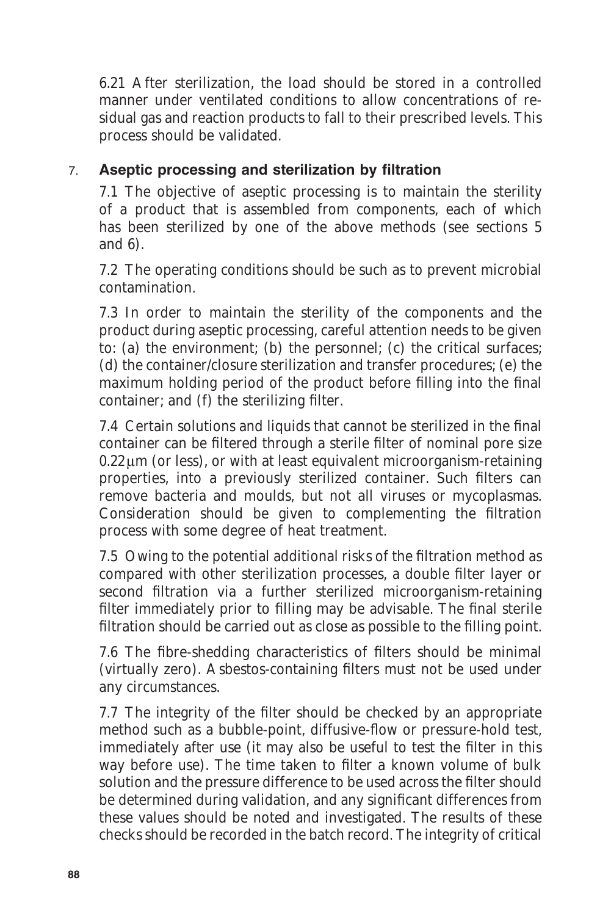6.21 After sterilization, the load should be stored in a controlled manner under ventilated conditions to allow concentrations of residual gas and reaction products to fall to their prescribed levels. This process should be validated.

### 7. **Aseptic processing and sterilization by filtration**

7.1 The objective of aseptic processing is to maintain the sterility of a product that is assembled from components, each of which has been sterilized by one of the above methods (see sections 5 and 6).

7.2 The operating conditions should be such as to prevent microbial contamination.

7.3 In order to maintain the sterility of the components and the product during aseptic processing, careful attention needs to be given to: (a) the environment; (b) the personnel; (c) the critical surfaces; (d) the container/closure sterilization and transfer procedures; (e) the maximum holding period of the product before filling into the final container; and (f) the sterilizing filter.

7.4 Certain solutions and liquids that cannot be sterilized in the final container can be filtered through a sterile filter of nominal pore size  $0.22 \mu m$  (or less), or with at least equivalent microorganism-retaining properties, into a previously sterilized container. Such filters can remove bacteria and moulds, but not all viruses or mycoplasmas. Consideration should be given to complementing the filtration process with some degree of heat treatment.

7.5 Owing to the potential additional risks of the filtration method as compared with other sterilization processes, a double filter layer or second filtration via a further sterilized microorganism-retaining filter immediately prior to filling may be advisable. The final sterile filtration should be carried out as close as possible to the filling point.

7.6 The fibre-shedding characteristics of filters should be minimal (virtually zero). Asbestos-containing filters must not be used under any circumstances.

7.7 The integrity of the filter should be checked by an appropriate method such as a bubble-point, diffusive-flow or pressure-hold test, immediately after use (it may also be useful to test the filter in this way before use). The time taken to filter a known volume of bulk solution and the pressure difference to be used across the filter should be determined during validation, and any significant differences from these values should be noted and investigated. The results of these checks should be recorded in the batch record. The integrity of critical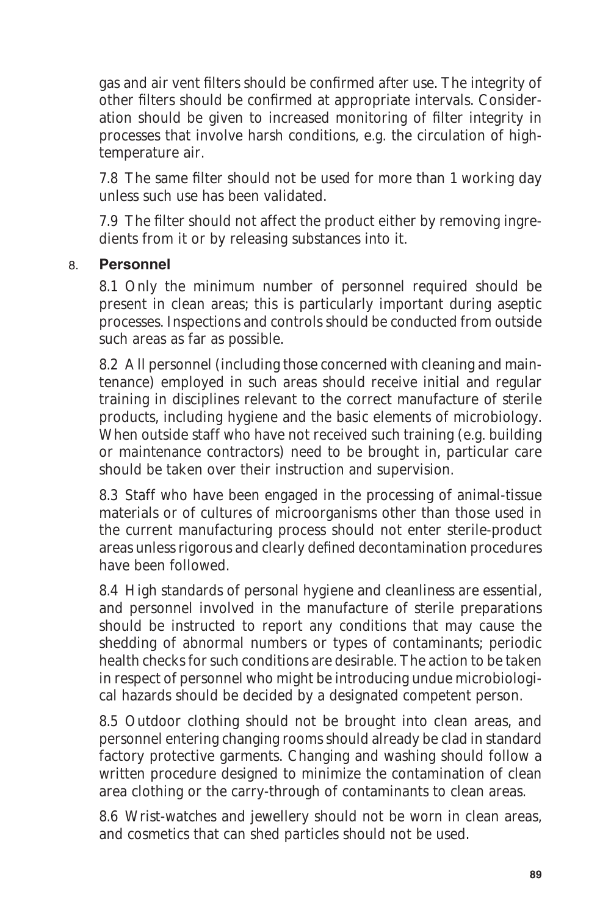gas and air vent filters should be confirmed after use. The integrity of other filters should be confirmed at appropriate intervals. Consideration should be given to increased monitoring of filter integrity in processes that involve harsh conditions, e.g. the circulation of hightemperature air.

7.8 The same filter should not be used for more than 1 working day unless such use has been validated.

7.9 The filter should not affect the product either by removing ingredients from it or by releasing substances into it.

#### 8. **Personnel**

8.1 Only the minimum number of personnel required should be present in clean areas; this is particularly important during aseptic processes. Inspections and controls should be conducted from outside such areas as far as possible.

8.2 All personnel (including those concerned with cleaning and maintenance) employed in such areas should receive initial and regular training in disciplines relevant to the correct manufacture of sterile products, including hygiene and the basic elements of microbiology. When outside staff who have not received such training (e.g. building or maintenance contractors) need to be brought in, particular care should be taken over their instruction and supervision.

8.3 Staff who have been engaged in the processing of animal-tissue materials or of cultures of microorganisms other than those used in the current manufacturing process should not enter sterile-product areas unless rigorous and clearly defined decontamination procedures have been followed.

8.4 High standards of personal hygiene and cleanliness are essential, and personnel involved in the manufacture of sterile preparations should be instructed to report any conditions that may cause the shedding of abnormal numbers or types of contaminants; periodic health checks for such conditions are desirable. The action to be taken in respect of personnel who might be introducing undue microbiological hazards should be decided by a designated competent person.

8.5 Outdoor clothing should not be brought into clean areas, and personnel entering changing rooms should already be clad in standard factory protective garments. Changing and washing should follow a written procedure designed to minimize the contamination of clean area clothing or the carry-through of contaminants to clean areas.

8.6 Wrist-watches and jewellery should not be worn in clean areas, and cosmetics that can shed particles should not be used.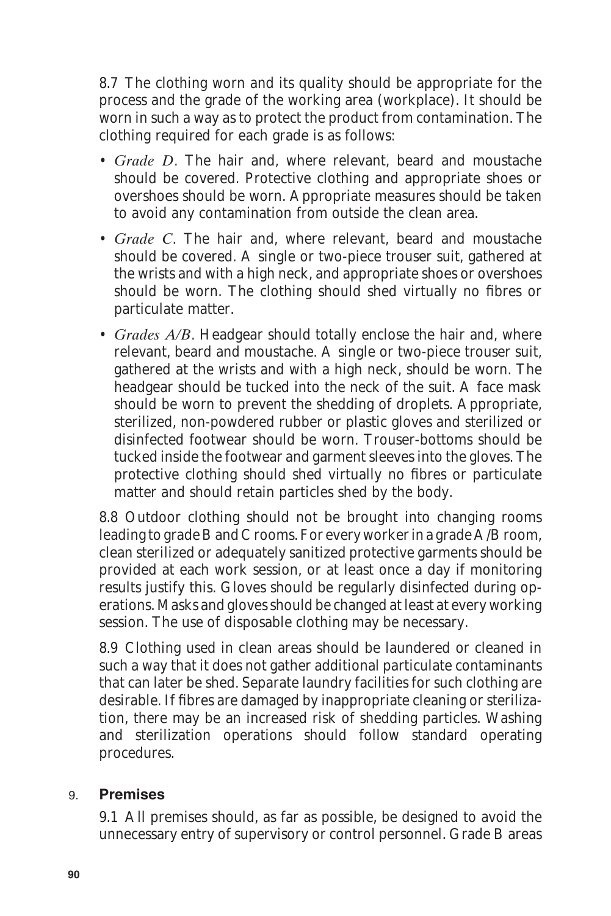8.7 The clothing worn and its quality should be appropriate for the process and the grade of the working area (workplace). It should be worn in such a way as to protect the product from contamination. The clothing required for each grade is as follows:

- *Grade D*. The hair and, where relevant, beard and moustache should be covered. Protective clothing and appropriate shoes or overshoes should be worn. Appropriate measures should be taken to avoid any contamination from outside the clean area.
- *Grade C*. The hair and, where relevant, beard and moustache should be covered. A single or two-piece trouser suit, gathered at the wrists and with a high neck, and appropriate shoes or overshoes should be worn. The clothing should shed virtually no fibres or particulate matter.
- *Grades A/B*. Headgear should totally enclose the hair and, where relevant, beard and moustache. A single or two-piece trouser suit, gathered at the wrists and with a high neck, should be worn. The headgear should be tucked into the neck of the suit. A face mask should be worn to prevent the shedding of droplets. Appropriate, sterilized, non-powdered rubber or plastic gloves and sterilized or disinfected footwear should be worn. Trouser-bottoms should be tucked inside the footwear and garment sleeves into the gloves. The protective clothing should shed virtually no fibres or particulate matter and should retain particles shed by the body.

8.8 Outdoor clothing should not be brought into changing rooms leading to grade B and C rooms. For every worker in a grade A/B room, clean sterilized or adequately sanitized protective garments should be provided at each work session, or at least once a day if monitoring results justify this. Gloves should be regularly disinfected during operations. Masks and gloves should be changed at least at every working session. The use of disposable clothing may be necessary.

8.9 Clothing used in clean areas should be laundered or cleaned in such a way that it does not gather additional particulate contaminants that can later be shed. Separate laundry facilities for such clothing are desirable. If fibres are damaged by inappropriate cleaning or sterilization, there may be an increased risk of shedding particles. Washing and sterilization operations should follow standard operating procedures.

#### 9. **Premises**

9.1 All premises should, as far as possible, be designed to avoid the unnecessary entry of supervisory or control personnel. Grade B areas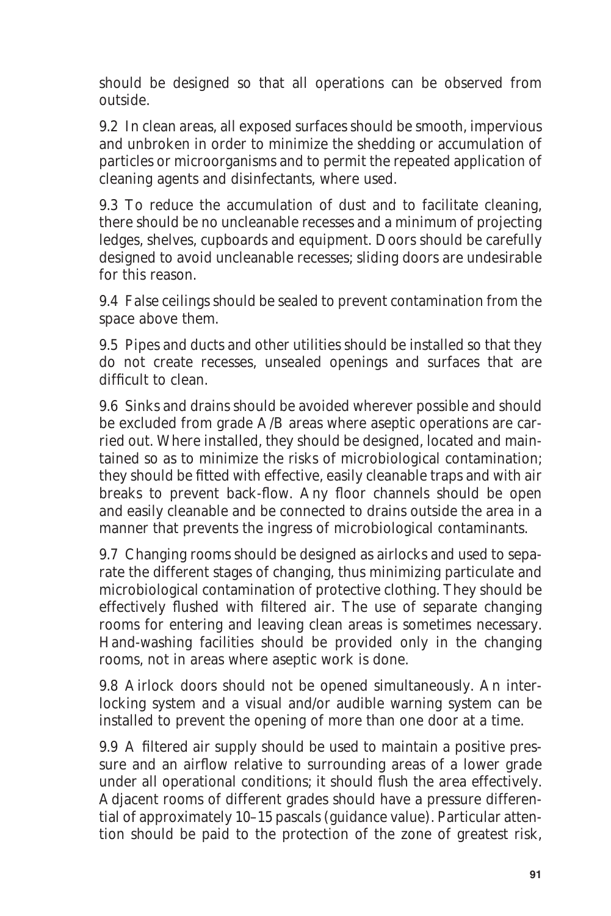should be designed so that all operations can be observed from outside.

9.2 In clean areas, all exposed surfaces should be smooth, impervious and unbroken in order to minimize the shedding or accumulation of particles or microorganisms and to permit the repeated application of cleaning agents and disinfectants, where used.

9.3 To reduce the accumulation of dust and to facilitate cleaning, there should be no uncleanable recesses and a minimum of projecting ledges, shelves, cupboards and equipment. Doors should be carefully designed to avoid uncleanable recesses; sliding doors are undesirable for this reason.

9.4 False ceilings should be sealed to prevent contamination from the space above them.

9.5 Pipes and ducts and other utilities should be installed so that they do not create recesses, unsealed openings and surfaces that are difficult to clean.

9.6 Sinks and drains should be avoided wherever possible and should be excluded from grade A/B areas where aseptic operations are carried out. Where installed, they should be designed, located and maintained so as to minimize the risks of microbiological contamination; they should be fitted with effective, easily cleanable traps and with air breaks to prevent back-flow. Any floor channels should be open and easily cleanable and be connected to drains outside the area in a manner that prevents the ingress of microbiological contaminants.

9.7 Changing rooms should be designed as airlocks and used to separate the different stages of changing, thus minimizing particulate and microbiological contamination of protective clothing. They should be effectively flushed with filtered air. The use of separate changing rooms for entering and leaving clean areas is sometimes necessary. Hand-washing facilities should be provided only in the changing rooms, not in areas where aseptic work is done.

9.8 Airlock doors should not be opened simultaneously. An interlocking system and a visual and/or audible warning system can be installed to prevent the opening of more than one door at a time.

9.9 A filtered air supply should be used to maintain a positive pressure and an airflow relative to surrounding areas of a lower grade under all operational conditions; it should flush the area effectively. Adjacent rooms of different grades should have a pressure differential of approximately 10–15 pascals (guidance value). Particular attention should be paid to the protection of the zone of greatest risk,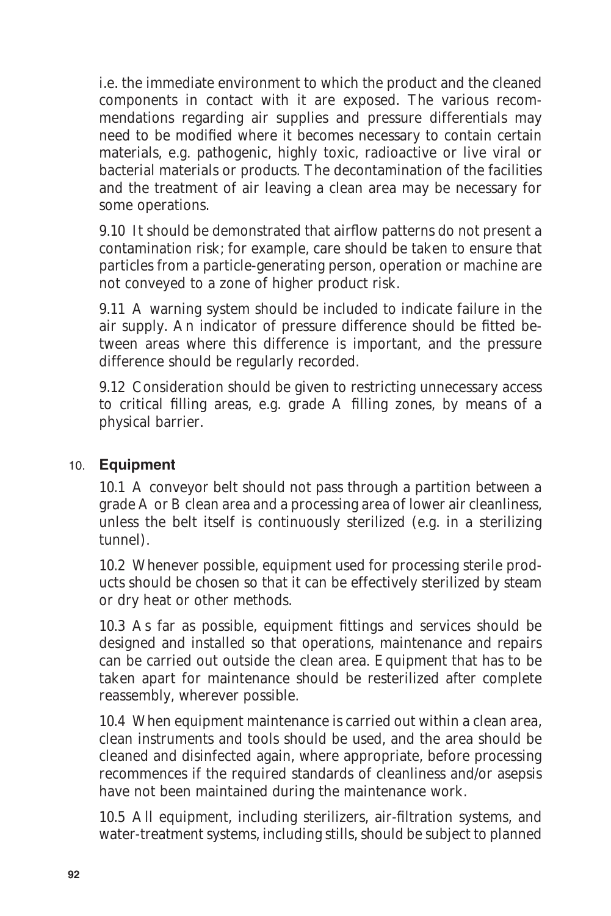i.e. the immediate environment to which the product and the cleaned components in contact with it are exposed. The various recommendations regarding air supplies and pressure differentials may need to be modified where it becomes necessary to contain certain materials, e.g. pathogenic, highly toxic, radioactive or live viral or bacterial materials or products. The decontamination of the facilities and the treatment of air leaving a clean area may be necessary for some operations.

9.10 It should be demonstrated that airflow patterns do not present a contamination risk; for example, care should be taken to ensure that particles from a particle-generating person, operation or machine are not conveyed to a zone of higher product risk.

9.11 A warning system should be included to indicate failure in the air supply. An indicator of pressure difference should be fitted between areas where this difference is important, and the pressure difference should be regularly recorded.

9.12 Consideration should be given to restricting unnecessary access to critical filling areas, e.g. grade A filling zones, by means of a physical barrier.

#### 10. **Equipment**

10.1 A conveyor belt should not pass through a partition between a grade A or B clean area and a processing area of lower air cleanliness, unless the belt itself is continuously sterilized (e.g. in a sterilizing tunnel).

10.2 Whenever possible, equipment used for processing sterile products should be chosen so that it can be effectively sterilized by steam or dry heat or other methods.

10.3 As far as possible, equipment fittings and services should be designed and installed so that operations, maintenance and repairs can be carried out outside the clean area. Equipment that has to be taken apart for maintenance should be resterilized after complete reassembly, wherever possible.

10.4 When equipment maintenance is carried out within a clean area, clean instruments and tools should be used, and the area should be cleaned and disinfected again, where appropriate, before processing recommences if the required standards of cleanliness and/or asepsis have not been maintained during the maintenance work.

10.5 All equipment, including sterilizers, air-filtration systems, and water-treatment systems, including stills, should be subject to planned